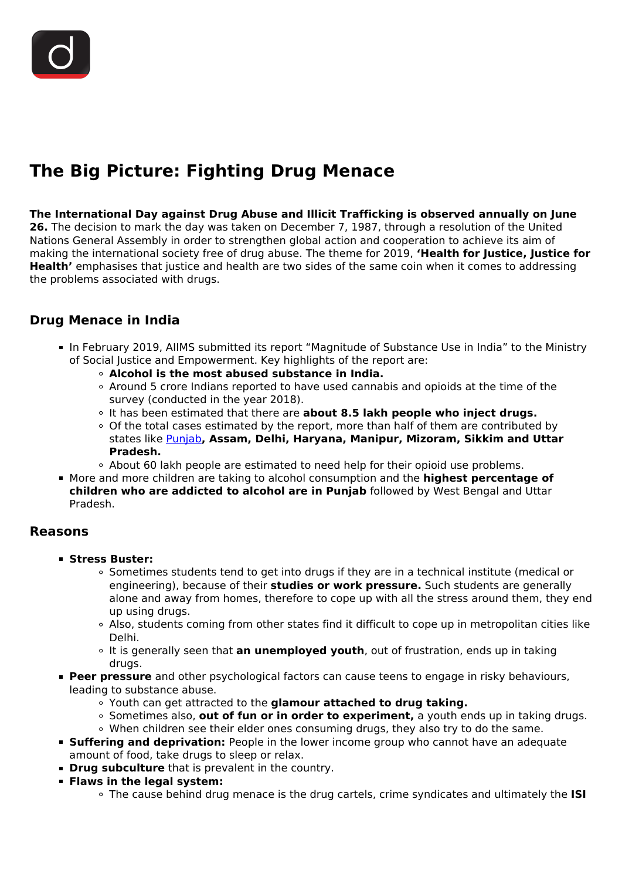# **The Big Picture: Fighting Drug Menace**

#### **The International Day against Drug Abuse and Illicit Trafficking is observed annually on June**

**26.** The decision to mark the day was taken on December 7, 1987, through a resolution of the United Nations General Assembly in order to strengthen global action and cooperation to achieve its aim of making the international society free of drug abuse. The theme for 2019, **'Health for Justice, Justice for Health'** emphasises that justice and health are two sides of the same coin when it comes to addressing the problems associated with drugs.

### **Drug Menace in India**

- In February 2019, AIIMS submitted its report "Magnitude of Substance Use in India" to the Ministry of Social Justice and Empowerment. Key highlights of the report are:
	- **Alcohol is the most abused substance in India.**
	- Around 5 crore Indians reported to have used cannabis and opioids at the time of the survey (conducted in the year 2018).
	- It has been estimated that there are **about 8.5 lakh people who inject drugs.**
	- Of the total cases estimated by the report, more than half of them are contributed by states like [Punjab](/daily-updates/daily-news-analysis/northern-states-to-fight-drug-menace-jointly)**, Assam, Delhi, Haryana, Manipur, Mizoram, Sikkim and Uttar Pradesh.**
	- About 60 lakh people are estimated to need help for their opioid use problems.
- More and more children are taking to alcohol consumption and the **highest percentage of children who are addicted to alcohol are in Punjab** followed by West Bengal and Uttar Pradesh.

#### **Reasons**

- **Stress Buster:**
	- Sometimes students tend to get into drugs if they are in a technical institute (medical or engineering), because of their **studies or work pressure.** Such students are generally alone and away from homes, therefore to cope up with all the stress around them, they end up using drugs.
	- Also, students coming from other states find it difficult to cope up in metropolitan cities like Delhi.
	- It is generally seen that **an unemployed youth**, out of frustration, ends up in taking drugs.
- **Peer pressure** and other psychological factors can cause teens to engage in risky behaviours, leading to substance abuse.
	- Youth can get attracted to the **glamour attached to drug taking.**
	- Sometimes also, **out of fun or in order to experiment,** a youth ends up in taking drugs.
	- When children see their elder ones consuming drugs, they also try to do the same.
- **Suffering and deprivation:** People in the lower income group who cannot have an adequate amount of food, take drugs to sleep or relax.
- **Drug subculture** that is prevalent in the country.
- **Flaws in the legal system:**
	- The cause behind drug menace is the drug cartels, crime syndicates and ultimately the **ISI**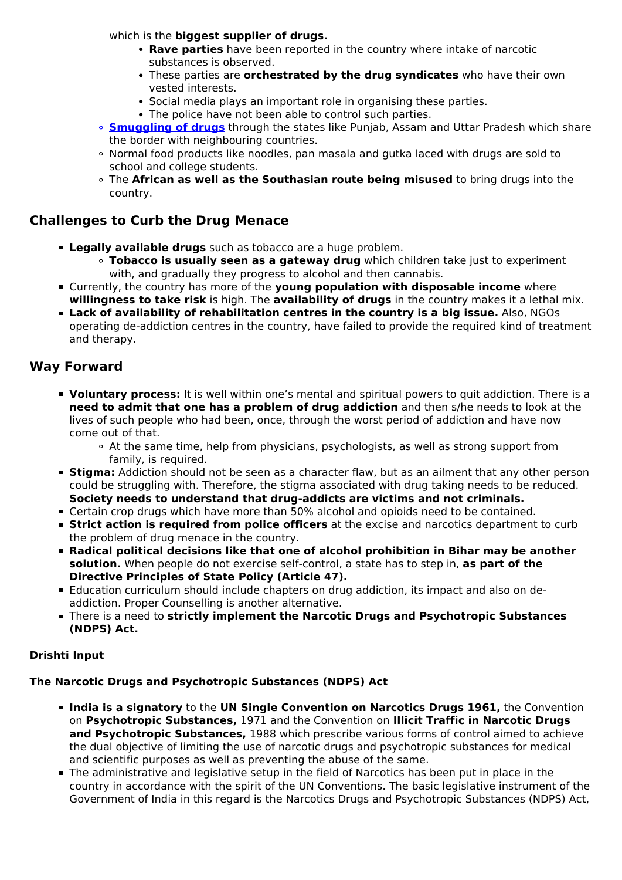which is the **biggest supplier of drugs.**

- **Rave parties** have been reported in the country where intake of narcotic substances is observed.
- These parties are **orchestrated by the drug syndicates** who have their own vested interests.
- Social media plays an important role in organising these parties.
- The police have not been able to control such parties.
- **[Smuggling of drugs](/daily-updates/daily-news-analysis/india-key-hub-for-illicit-drug-trade-unodc)** through the states like Punjab, Assam and Uttar Pradesh which share the border with neighbouring countries.
- Normal food products like noodles, pan masala and gutka laced with drugs are sold to school and college students.
- The **African as well as the Southasian route being misused** to bring drugs into the country.

## **Challenges to Curb the Drug Menace**

- **Legally available drugs** such as tobacco are a huge problem.
	- **Tobacco is usually seen as a gateway drug** which children take just to experiment with, and gradually they progress to alcohol and then cannabis.
- Currently, the country has more of the **young population with disposable income** where **willingness to take risk** is high. The **availability of drugs** in the country makes it a lethal mix.
- **Lack of availability of rehabilitation centres in the country is a big issue.** Also, NGOs operating de-addiction centres in the country, have failed to provide the required kind of treatment and therapy.

### **Way Forward**

- **Voluntary process:** It is well within one's mental and spiritual powers to quit addiction. There is a **need to admit that one has a problem of drug addiction** and then s/he needs to look at the lives of such people who had been, once, through the worst period of addiction and have now come out of that.
	- At the same time, help from physicians, psychologists, as well as strong support from family, is required.
- **Stigma:** Addiction should not be seen as a character flaw, but as an ailment that any other person could be struggling with. Therefore, the stigma associated with drug taking needs to be reduced. **Society needs to understand that drug-addicts are victims and not criminals.**
- Certain crop drugs which have more than 50% alcohol and opioids need to be contained.
- **Strict action is required from police officers** at the excise and narcotics department to curb the problem of drug menace in the country.
- **Radical political decisions like that one of alcohol prohibition in Bihar may be another solution.** When people do not exercise self-control, a state has to step in, **as part of the Directive Principles of State Policy (Article 47).**
- Education curriculum should include chapters on drug addiction, its impact and also on deaddiction. Proper Counselling is another alternative.
- There is a need to **strictly implement the Narcotic Drugs and Psychotropic Substances (NDPS) Act.**

#### **Drishti Input**

## **The Narcotic Drugs and Psychotropic Substances (NDPS) Act**

- **India is a signatory** to the **UN Single Convention on Narcotics Drugs 1961,** the Convention on **Psychotropic Substances,** 1971 and the Convention on **Illicit Traffic in Narcotic Drugs and Psychotropic Substances,** 1988 which prescribe various forms of control aimed to achieve the dual objective of limiting the use of narcotic drugs and psychotropic substances for medical and scientific purposes as well as preventing the abuse of the same.
- The administrative and legislative setup in the field of Narcotics has been put in place in the country in accordance with the spirit of the UN Conventions. The basic legislative instrument of the Government of India in this regard is the Narcotics Drugs and Psychotropic Substances (NDPS) Act,